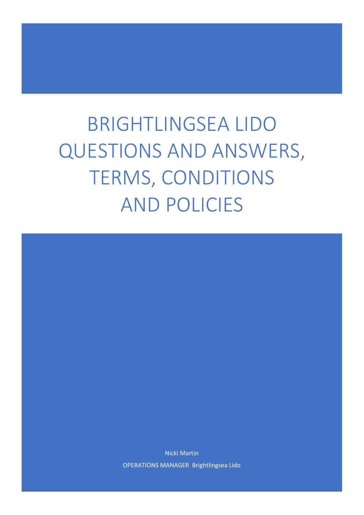# <span id="page-0-0"></span>**BRIGHTLINGSEA LIDO** QUESTIONS AND ANSWERS, TERMS, CONDITIONS **AND POLICIES**

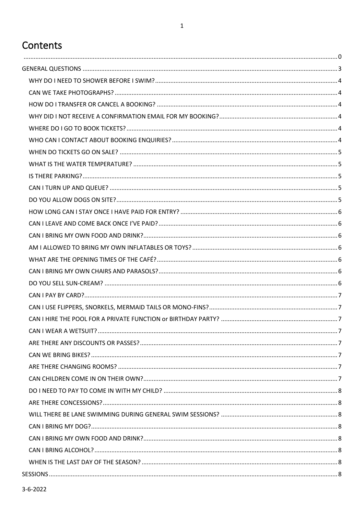# Contents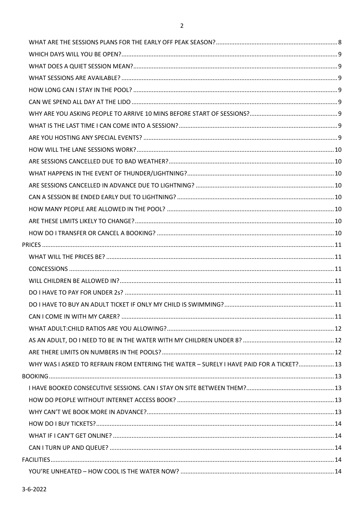| WHY WAS I ASKED TO REFRAIN FROM ENTERING THE WATER - SURELY I HAVE PAID FOR A TICKET? 13 |  |
|------------------------------------------------------------------------------------------|--|
|                                                                                          |  |
|                                                                                          |  |
|                                                                                          |  |
|                                                                                          |  |
|                                                                                          |  |
|                                                                                          |  |
|                                                                                          |  |
|                                                                                          |  |
|                                                                                          |  |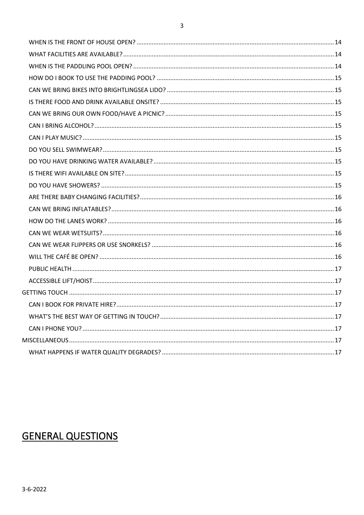# <span id="page-3-0"></span>**GENERAL QUESTIONS**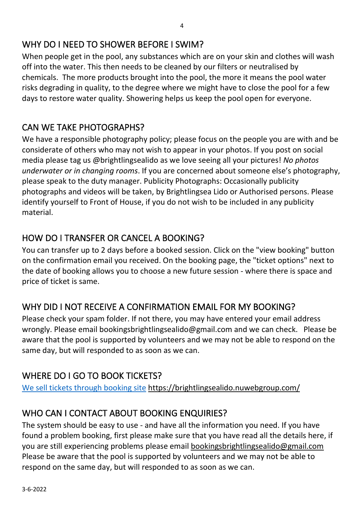## <span id="page-4-0"></span>WHY DO I NEED TO SHOWER BEFORE I SWIM?

When people get in the pool, any substances which are on your skin and clothes will wash off into the water. This then needs to be cleaned by our filters or neutralised by chemicals. The more products brought into the pool, the more it means the pool water risks degrading in quality, to the degree where we might have to close the pool for a few days to restore water quality. Showering helps us keep the pool open for everyone.

#### <span id="page-4-1"></span>CAN WE TAKE PHOTOGRAPHS?

We have a responsible photography policy; please focus on the people you are with and be considerate of others who may not wish to appear in your photos. If you post on social media please tag us @brightlingsealido as we love seeing all your pictures! *No photos underwater or in changing rooms*. If you are concerned about someone else's photography, please speak to the duty manager. Publicity Photographs: Occasionally publicity photographs and videos will be taken, by Brightlingsea Lido or Authorised persons. Please identify yourself to Front of House, if you do not wish to be included in any publicity material.

## <span id="page-4-2"></span>HOW DO I TRANSFER OR CANCEL A BOOKING?

You can transfer up to 2 days before a booked session. Click on the "view booking" button on the confirmation email you received. On the booking page, the "ticket options" next to the date of booking allows you to choose a new future session - where there is space and price of ticket is same.

#### <span id="page-4-3"></span>WHY DID I NOT RECEIVE A CONFIRMATION EMAIL FOR MY BOOKING?

Please check your spam folder. If not there, you may have entered your email address wrongly. Please email bookingsbrightlingsealido@gmail.com and we can check. Please be aware that the pool is supported by volunteers and we may not be able to respond on the same day, but will responded to as soon as we can.

## <span id="page-4-4"></span>WHERE DO I GO TO BOOK TICKETS?

[We sell tickets through booking site](https://brightlingsealido.nuwebgroup.com/) <https://brightlingsealido.nuwebgroup.com/>

## <span id="page-4-5"></span>WHO CAN I CONTACT ABOUT BOOKING ENQUIRIES?

The system should be easy to use - and have all the information you need. If you have found a problem booking, first please make sure that you have read all the details here, if you are still experiencing problems please email [bookingsbrightlingsealido@gmail.com](mailto:bookingsbrightlingsealido@gmail.com) Please be aware that the pool is supported by volunteers and we may not be able to respond on the same day, but will responded to as soon as we can.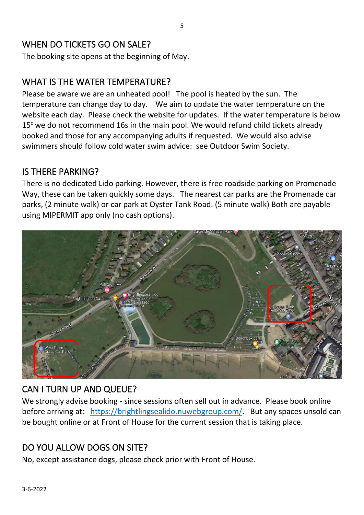#### <span id="page-5-0"></span>WHEN DO TICKETS GO ON SALE?

The booking site opens at the beginning of May.

## <span id="page-5-1"></span>WHAT IS THE WATER TEMPERATURE?

Please be aware we are an unheated pool! The pool is heated by the sun. The temperature can change day to day. We aim to update the water temperature on the website each day. Please check the website for updates. If the water temperature is below  $15<sup>c</sup>$  we do not recommend 16s in the main pool. We would refund child tickets already booked and those for any accompanying adults if requested. We would also advise swimmers should follow cold water swim advice: see [Outdoor Swim Society.](https://outdoorswimmer.com/blogs/6-tips-for-cold-water-swimming)

#### <span id="page-5-2"></span>IS THERE PARKING?

There is no dedicated Lido parking. However, there is free roadside parking on Promenade Way, these can be taken quickly some days. The nearest car parks are the Promenade car parks, (2 minute walk) or car park at Oyster Tank Road. (5 minute walk) Both are payable using MIPERMIT app only (no cash options).



## <span id="page-5-3"></span>CAN I TURN UP AND QUEUE?

We strongly advise booking - since sessions often sell out in advance. Please book online before arriving at: [https://brightlingsealido.nuwebgroup.com/.](https://brightlingsealido.nuwebgroup.com/) But any spaces unsold can be bought online or at Front of House for the current session that is taking place.

## <span id="page-5-4"></span>DO YOU ALLOW DOGS ON SITE?

No, except assistance dogs, please check prior with Front of House.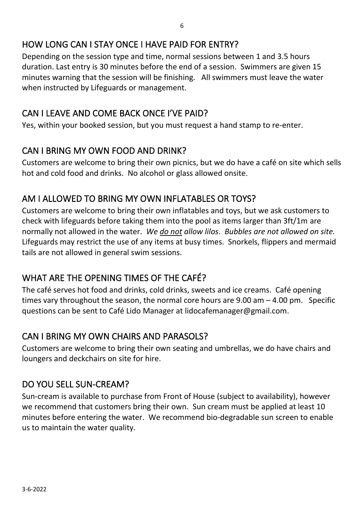## <span id="page-6-0"></span>HOW LONG CAN I STAY ONCE I HAVE PAID FOR ENTRY?

Depending on the session type and time, normal sessions between 1 and 3.5 hours duration. Last entry is 30 minutes before the end of a session. Swimmers are given 15 minutes warning that the session will be finishing. All swimmers must leave the water when instructed by Lifeguards or management.

## <span id="page-6-1"></span>CAN I LEAVE AND COME BACK ONCE I'VE PAID?

Yes, within your booked session, but you must request a hand stamp to re-enter.

#### <span id="page-6-2"></span>CAN I BRING MY OWN FOOD AND DRINK?

Customers are welcome to bring their own picnics, but we do have a café on site which sells hot and cold food and drinks. No alcohol or glass allowed onsite.

## <span id="page-6-3"></span>AM I ALLOWED TO BRING MY OWN INFLATABLES OR TOYS?

Customers are welcome to bring their own inflatables and toys, but we ask customers to check with lifeguards before taking them into the pool as items larger than 3ft/1m are normally not allowed in the water. *We do not allow lilos*. *Bubbles are not allowed on site.* Lifeguards may restrict the use of any items at busy times. Snorkels, flippers and mermaid tails are not allowed in general swim sessions.

## <span id="page-6-4"></span>WHAT ARE THE OPENING TIMES OF THE CAFÉ?

The café serves hot food and drinks, cold drinks, sweets and ice creams. Café opening times vary throughout the season, the normal core hours are  $9.00$  am  $-4.00$  pm. Specific questions can be sent to Café Lido Manager at lidocafemanager@gmail.com.

## <span id="page-6-5"></span>CAN I BRING MY OWN CHAIRS AND PARASOLS?

Customers are welcome to bring their own seating and umbrellas, we do have chairs and loungers and deckchairs on site for hire.

#### <span id="page-6-6"></span>DO YOU SELL SUN-CREAM?

Sun-cream is available to purchase from Front of House (subject to availability), however we recommend that customers bring their own. Sun cream must be applied at least 10 minutes before entering the water. We recommend bio-degradable sun screen to enable us to maintain the water quality.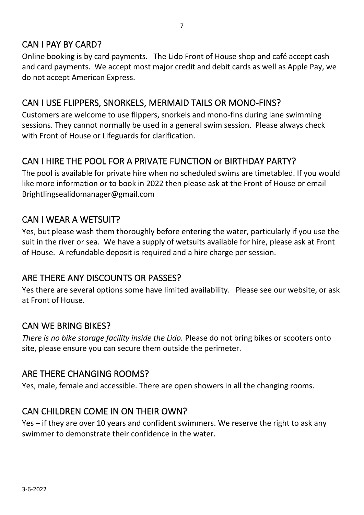## <span id="page-7-0"></span>CAN I PAY BY CARD?

Online booking is by card payments. The Lido Front of House shop and café accept cash and card payments. We accept most major credit and debit cards as well as Apple Pay, we do not accept American Express.

#### <span id="page-7-1"></span>CAN I USE FLIPPERS, SNORKELS, MERMAID TAILS OR MONO-FINS?

Customers are welcome to use flippers, snorkels and mono-fins during lane swimming sessions. They cannot normally be used in a general swim session. Please always check with Front of House or Lifeguards for clarification.

## <span id="page-7-2"></span>CAN I HIRE THE POOL FOR A PRIVATE FUNCTION or BIRTHDAY PARTY?

The pool is available for private hire when no scheduled swims are timetabled. If you would like more information or to book in 2022 then please ask at the Front of House or email Brightlingsealidomanager@gmail.com

#### <span id="page-7-3"></span>CAN I WEAR A WETSUIT?

Yes, but please wash them thoroughly before entering the water, particularly if you use the suit in the river or sea. We have a supply of wetsuits available for hire, please ask at Front of House. A refundable deposit is required and a hire charge per session.

#### <span id="page-7-4"></span>ARE THERE ANY DISCOUNTS OR PASSES?

Yes there are several options some have limited availability. Please see our website, or ask at Front of House.

#### <span id="page-7-5"></span>CAN WE BRING BIKES?

*There is no bike storage facility inside the Lido.* Please do not bring bikes or scooters onto site, please ensure you can secure them outside the perimeter.

#### <span id="page-7-6"></span>ARE THERE CHANGING ROOMS?

Yes, male, female and accessible. There are open showers in all the changing rooms.

#### <span id="page-7-7"></span>CAN CHILDREN COME IN ON THEIR OWN?

Yes – if they are over 10 years and confident swimmers. We reserve the right to ask any swimmer to demonstrate their confidence in the water.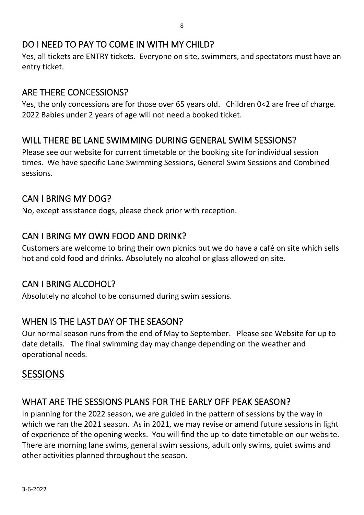#### <span id="page-8-0"></span>DO I NEED TO PAY TO COME IN WITH MY CHILD?

Yes, all tickets are ENTRY tickets. Everyone on site, swimmers, and spectators must have an entry ticket.

### <span id="page-8-1"></span>ARE THERE CONCESSIONS?

Yes, the only concessions are for those over 65 years old. Children 0<2 are free of charge. 2022 Babies under 2 years of age will not need a booked ticket.

## <span id="page-8-2"></span>WILL THERE BE LANE SWIMMING DURING GENERAL SWIM SESSIONS?

Please see our website for current timetable or the booking site for individual session times. We have specific Lane Swimming Sessions, General Swim Sessions and Combined sessions.

## <span id="page-8-3"></span>CAN I BRING MY DOG?

No, except assistance dogs, please check prior with reception.

## <span id="page-8-4"></span>CAN I BRING MY OWN FOOD AND DRINK?

Customers are welcome to bring their own picnics but we do have a café on site which sells hot and cold food and drinks. Absolutely no alcohol or glass allowed on site.

#### <span id="page-8-5"></span>CAN I BRING ALCOHOL?

Absolutely no alcohol to be consumed during swim sessions.

#### <span id="page-8-6"></span>WHEN IS THE LAST DAY OF THE SEASON?

Our normal season runs from the end of May to September. Please see Website for up to date details. The final swimming day may change depending on the weather and operational needs.

## <span id="page-8-7"></span>SESSIONS

## <span id="page-8-8"></span>WHAT ARE THE SESSIONS PLANS FOR THE EARLY OFF PEAK SEASON?

In planning for the 2022 season, we are guided in the pattern of sessions by the way in which we ran the 2021 season. As in 2021, we may revise or amend future sessions in light of experience of the opening weeks. You will find the up-to-date timetable on our website. There are morning lane swims, general swim sessions, adult only swims, quiet swims and other activities planned throughout the season.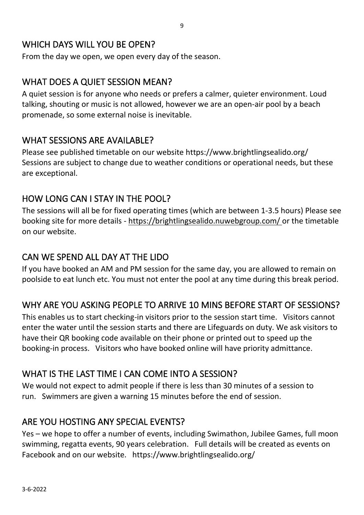#### <span id="page-9-0"></span>WHICH DAYS WILL YOU BE OPEN?

From the day we open, we open every day of the season.

#### <span id="page-9-1"></span>WHAT DOES A QUIET SESSION MEAN?

A quiet session is for anyone who needs or prefers a calmer, quieter environment. Loud talking, shouting or music is not allowed, however we are an open-air pool by a beach promenade, so some external noise is inevitable.

#### <span id="page-9-2"></span>WHAT SESSIONS ARE AVAILABLE?

Please see published timetable on our website https://www.brightlingsealido.org/ Sessions are subject to change due to weather conditions or operational needs, but these are exceptional.

#### <span id="page-9-3"></span>HOW LONG CAN I STAY IN THE POOL?

The sessions will all be for fixed operating times (which are between 1-3.5 hours) Please see booking site for more details - <https://brightlingsealido.nuwebgroup.com/> or the timetable on our website.

### <span id="page-9-4"></span>CAN WE SPEND ALL DAY AT THE LIDO

If you have booked an AM and PM session for the same day, you are allowed to remain on poolside to eat lunch etc. You must not enter the pool at any time during this break period.

## <span id="page-9-5"></span>WHY ARE YOU ASKING PEOPLE TO ARRIVE 10 MINS BEFORE START OF SESSIONS?

This enables us to start checking-in visitors prior to the session start time. Visitors cannot enter the water until the session starts and there are Lifeguards on duty. We ask visitors to have their QR booking code available on their phone or printed out to speed up the booking-in process. Visitors who have booked online will have priority admittance.

#### <span id="page-9-6"></span>WHAT IS THE LAST TIME I CAN COME INTO A SESSION?

We would not expect to admit people if there is less than 30 minutes of a session to run. Swimmers are given a warning 15 minutes before the end of session.

#### <span id="page-9-7"></span>ARE YOU HOSTING ANY SPECIAL EVENTS?

Yes – we hope to offer a number of events, including Swimathon, Jubilee Games, full moon swimming, regatta events, 90 years celebration. Full details will be created as events on Facebook and on our website. https://www.brightlingsealido.org/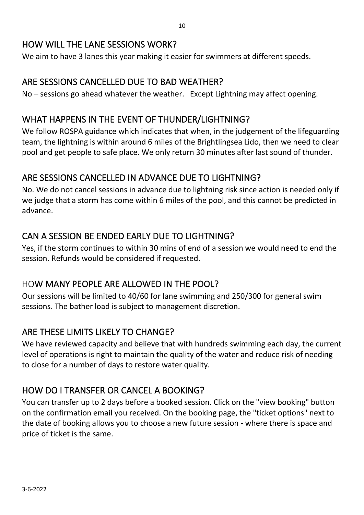#### <span id="page-10-0"></span>HOW WILL THE LANE SESSIONS WORK?

We aim to have 3 lanes this year making it easier for swimmers at different speeds.

#### <span id="page-10-1"></span>ARE SESSIONS CANCELLED DUE TO BAD WEATHER?

No – sessions go ahead whatever the weather. Except Lightning may affect opening.

#### <span id="page-10-2"></span>WHAT HAPPENS IN THE EVENT OF THUNDER/LIGHTNING?

We follow [ROSPA guidance](https://www.rospa.com/leisure-safety/Advice/Lightning) which indicates that when, in the judgement of the lifeguarding team, the lightning is within around 6 miles of the Brightlingsea Lido, then we need to clear pool and get people to safe place. We only return 30 minutes after last sound of thunder.

#### <span id="page-10-3"></span>ARE SESSIONS CANCELLED IN ADVANCE DUE TO LIGHTNING?

No. We do not cancel sessions in advance due to lightning risk since action is needed only if we judge that a storm has come within 6 miles of the pool, and this cannot be predicted in advance.

#### <span id="page-10-4"></span>CAN A SESSION BE ENDED EARLY DUE TO LIGHTNING?

Yes, if the storm continues to within 30 mins of end of a session we would need to end the session. Refunds would be considered if requested.

#### <span id="page-10-5"></span>HOW MANY PEOPLE ARE ALLOWED IN THE POOL?

Our sessions will be limited to 40/60 for lane swimming and 250/300 for general swim sessions. The bather load is subject to management discretion.

#### <span id="page-10-6"></span>ARE THESE LIMITS LIKELY TO CHANGE?

We have reviewed capacity and believe that with hundreds swimming each day, the current level of operations is right to maintain the quality of the water and reduce risk of needing to close for a number of days to restore water quality.

#### <span id="page-10-7"></span>HOW DO I TRANSFER OR CANCEL A BOOKING?

You can transfer up to 2 days before a booked session. Click on the "view booking" button on the confirmation email you received. On the booking page, the "ticket options" next to the date of booking allows you to choose a new future session - where there is space and price of ticket is the same.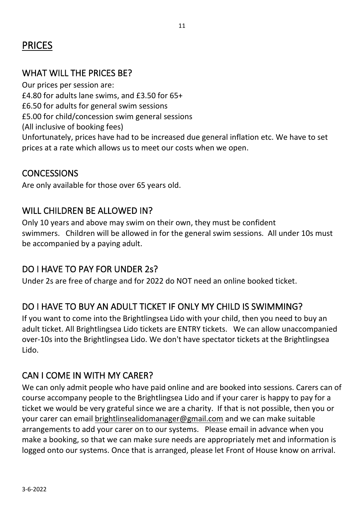# <span id="page-11-0"></span>PRICES

### <span id="page-11-1"></span>WHAT WILL THE PRICES BE?

Our prices per session are: £4.80 for adults lane swims, and £3.50 for 65+ £6.50 for adults for general swim sessions £5.00 for child/concession swim general sessions (All inclusive of booking fees) Unfortunately, prices have had to be increased due general inflation etc. We have to set prices at a rate which allows us to meet our costs when we open.

#### <span id="page-11-2"></span>**CONCESSIONS**

Are only available for those over 65 years old.

#### <span id="page-11-3"></span>WILL CHILDREN BE ALLOWED IN?

Only 10 years and above may swim on their own, they must be confident swimmers. Children will be allowed in for the general swim sessions. All under 10s must be accompanied by a paying adult.

#### <span id="page-11-4"></span>DO I HAVE TO PAY FOR UNDER 2s?

Under 2s are free of charge and for 2022 do NOT need an online booked ticket.

#### <span id="page-11-5"></span>DO I HAVE TO BUY AN ADULT TICKET IF ONLY MY CHILD IS SWIMMING?

If you want to come into the Brightlingsea Lido with your child, then you need to buy an adult ticket. All Brightlingsea Lido tickets are ENTRY tickets. We can allow unaccompanied over-10s into the Brightlingsea Lido. We don't have spectator tickets at the Brightlingsea Lido.

#### <span id="page-11-6"></span>CAN I COME IN WITH MY CARER?

We can only admit people who have paid online and are booked into sessions. Carers can of course accompany people to the Brightlingsea Lido and if your carer is happy to pay for a ticket we would be very grateful since we are a charity. If that is not possible, then you or your carer can email [brightlinsealidomanager@gmail.com](mailto:brightlinsealidomanager@gmail.com) and we can make suitable arrangements to add your carer on to our systems. Please email in advance when you make a booking, so that we can make sure needs are appropriately met and information is logged onto our systems. Once that is arranged, please let Front of House know on arrival.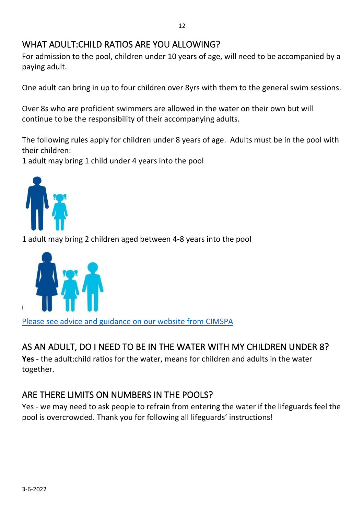## <span id="page-12-0"></span>WHAT ADULT:CHILD RATIOS ARE YOU ALLOWING?

For admission to the pool, children under 10 years of age, will need to be accompanied by a paying adult.

One adult can bring in up to four children over 8yrs with them to the general swim sessions.

Over 8s who are proficient swimmers are allowed in the water on their own but will continue to be the responsibility of their accompanying adults.

The following rules apply for children under 8 years of age. Adults must be in the pool with their children:

1 adult may bring 1 child under 4 years into the pool



1 adult may bring 2 children aged between 4-8 years into the pool



[Please see advice and guidance on our website from CIMSPA](https://www.nationalwatersafety.org.uk/media/1148/parental-and-operator-guidance-for-child-supervision-policies-in-swimming-pools-gn014.pdf)

## <span id="page-12-1"></span>AS AN ADULT, DO I NEED TO BE IN THE WATER WITH MY CHILDREN UNDER 8?

**Yes** - the adult:child ratios for the water, means for children and adults in the water together.

## <span id="page-12-2"></span>ARE THERE LIMITS ON NUMBERS IN THE POOLS?

Yes - we may need to ask people to refrain from entering the water if the lifeguards feel the pool is overcrowded. Thank you for following all lifeguards' instructions!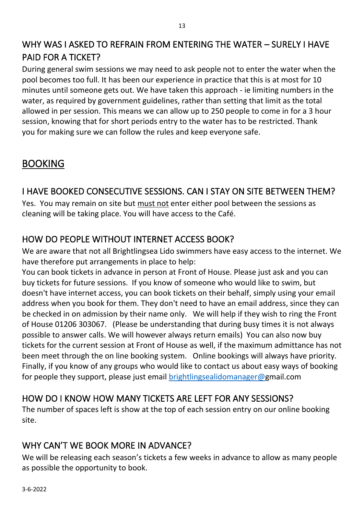## <span id="page-13-0"></span>WHY WAS I ASKED TO REFRAIN FROM ENTERING THE WATER – SURELY I HAVE PAID FOR A TICKET?

During general swim sessions we may need to ask people not to enter the water when the pool becomes too full. It has been our experience in practice that this is at most for 10 minutes until someone gets out. We have taken this approach - ie limiting numbers in the water, as required by government guidelines, rather than setting that limit as the total allowed in per session. This means we can allow up to 250 people to come in for a 3 hour session, knowing that for short periods entry to the water has to be restricted. Thank you for making sure we can follow the rules and keep everyone safe.

# <span id="page-13-1"></span>BOOKING

## <span id="page-13-2"></span>I HAVE BOOKED CONSECUTIVE SESSIONS. CAN I STAY ON SITE BETWEEN THEM?

Yes. You may remain on site but must not enter either pool between the sessions as cleaning will be taking place. You will have access to the Café.

# <span id="page-13-3"></span>HOW DO PEOPLE WITHOUT INTERNET ACCESS BOOK?

We are aware that not all Brightlingsea Lido swimmers have easy access to the internet. We have therefore put arrangements in place to help:

You can book tickets in advance in person at Front of House. Please just ask and you can buy tickets for future sessions. If you know of someone who would like to swim, but doesn't have internet access, you can book tickets on their behalf, simply using your email address when you book for them. They don't need to have an email address, since they can be checked in on admission by their name only. We will help if they wish to ring the Front of House 01206 303067. (Please be understanding that during busy times it is not always possible to answer calls. We will however always return emails) You can also now buy tickets for the current session at Front of House as well, if the maximum admittance has not been meet through the on line booking system. Online bookings will always have priority. Finally, if you know of any groups who would like to contact us about easy ways of booking for people they support, please just email [brightlingsealidomanager@g](mailto:brightlingsealidomanager@)mail.com

## HOW DO I KNOW HOW MANY TICKETS ARE LEFT FOR ANY SESSIONS?

The number of spaces left is show at the top of each session entry on our online booking site.

## <span id="page-13-4"></span>WHY CAN'T WE BOOK MORE IN ADVANCE?

We will be releasing each season's tickets a few weeks in advance to allow as many people as possible the opportunity to book.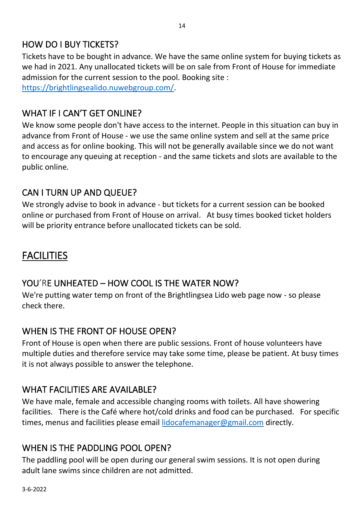### <span id="page-14-0"></span>HOW DO I BUY TICKETS?

Tickets have to be bought in advance. We have the same online system for buying tickets as we had in 2021. Any unallocated tickets will be on sale from Front of House for immediate admission for the current session to the pool. Booking site : [https://brightlingsealido.nuwebgroup.com/.](https://brightlingsealido.nuwebgroup.com/)

## <span id="page-14-1"></span>WHAT IF I CAN'T GET ONLINE?

We know some people don't have access to the internet. People in this situation can buy in advance from Front of House - we use the same online system and sell at the same price and access as for online booking. This will not be generally available since we do not want to encourage any queuing at reception - and the same tickets and slots are available to the public online.

## <span id="page-14-2"></span>CAN I TURN UP AND QUEUE?

We strongly advise to book in advance - but tickets for a current session can be booked online or purchased from Front of House on arrival. At busy times booked ticket holders will be priority entrance before unallocated tickets can be sold.

# <span id="page-14-3"></span>FACILITIES

## <span id="page-14-4"></span>YOU'RE UNHEATED - HOW COOL IS THE WATER NOW?

We're putting water temp on front of the Brightlingsea Lido web page now - so please check there.

#### <span id="page-14-5"></span>WHEN IS THE FRONT OF HOUSE OPEN?

Front of House is open when there are public sessions. Front of house volunteers have multiple duties and therefore service may take some time, please be patient. At busy times it is not always possible to answer the telephone.

## <span id="page-14-6"></span>WHAT FACILITIES ARE AVAILABLE?

We have male, female and accessible changing rooms with toilets. All have showering facilities. There is the Café where hot/cold drinks and food can be purchased. For specific times, menus and facilities please email [lidocafemanager@gmail.com](mailto:lidocafemanager@gmail.com) directly.

## <span id="page-14-7"></span>WHEN IS THE PADDLING POOL OPEN?

The paddling pool will be open during our general swim sessions. It is not open during adult lane swims since children are not admitted.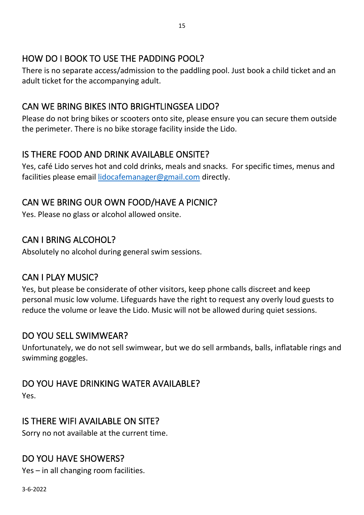## <span id="page-15-0"></span>HOW DO I BOOK TO USE THE PADDING POOL?

There is no separate access/admission to the paddling pool. Just book a child ticket and an adult ticket for the accompanying adult.

## <span id="page-15-1"></span>CAN WE BRING BIKES INTO BRIGHTLINGSEA LIDO?

Please do not bring bikes or scooters onto site, please ensure you can secure them outside the perimeter. There is no bike storage facility inside the Lido.

## <span id="page-15-2"></span>IS THERE FOOD AND DRINK AVAILABLE ONSITE?

Yes, café Lido serves hot and cold drinks, meals and snacks. For specific times, menus and facilities please email [lidocafemanager@gmail.com](mailto:lidocafemanager@gmail.com) directly.

## <span id="page-15-3"></span>CAN WE BRING OUR OWN FOOD/HAVE A PICNIC?

Yes. Please no glass or alcohol allowed onsite.

#### <span id="page-15-4"></span>CAN I BRING ALCOHOL?

Absolutely no alcohol during general swim sessions.

#### <span id="page-15-5"></span>CAN I PLAY MUSIC?

Yes, but please be considerate of other visitors, keep phone calls discreet and keep personal music low volume. Lifeguards have the right to request any overly loud guests to reduce the volume or leave the Lido. Music will not be allowed during quiet sessions.

#### <span id="page-15-6"></span>DO YOU SELL SWIMWEAR?

Unfortunately, we do not sell swimwear, but we do sell armbands, balls, inflatable rings and swimming goggles.

#### <span id="page-15-7"></span>DO YOU HAVE DRINKING WATER AVAILABLE?

Yes.

#### <span id="page-15-8"></span>IS THERE WIFI AVAILABLE ON SITE?

Sorry no not available at the current time.

#### <span id="page-15-9"></span>DO YOU HAVE SHOWERS?

Yes – in all changing room facilities.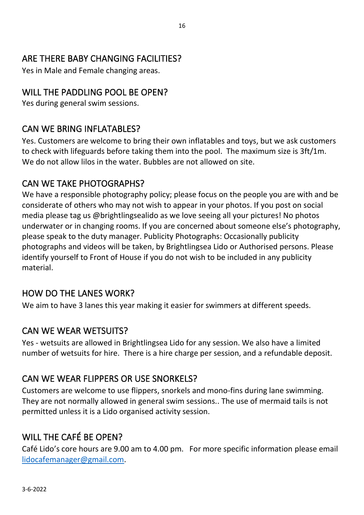## <span id="page-16-0"></span>ARE THERE BABY CHANGING FACILITIES?

Yes in Male and Female changing areas.

#### WILL THE PADDLING POOL BE OPEN?

Yes during general swim sessions.

### <span id="page-16-1"></span>CAN WE BRING INFLATABLES?

Yes. Customers are welcome to bring their own inflatables and toys, but we ask customers to check with lifeguards before taking them into the pool. The maximum size is 3ft/1m. We do not allow lilos in the water. Bubbles are not allowed on site.

#### CAN WE TAKE PHOTOGRAPHS?

We have a responsible photography policy; please focus on the people you are with and be considerate of others who may not wish to appear in your photos. If you post on social media please tag us @brightlingsealido as we love seeing all your pictures! No photos underwater or in changing rooms. If you are concerned about someone else's photography, please speak to the duty manager. Publicity Photographs: Occasionally publicity photographs and videos will be taken, by Brightlingsea Lido or Authorised persons. Please identify yourself to Front of House if you do not wish to be included in any publicity material.

#### <span id="page-16-2"></span>HOW DO THE LANES WORK?

We aim to have 3 lanes this year making it easier for swimmers at different speeds.

#### <span id="page-16-3"></span>CAN WE WEAR WETSUITS?

Yes - wetsuits are allowed in Brightlingsea Lido for any session. We also have a limited number of wetsuits for hire. There is a hire charge per session, and a refundable deposit.

#### <span id="page-16-4"></span>CAN WE WEAR FLIPPERS OR USE SNORKELS?

Customers are welcome to use flippers, snorkels and mono-fins during lane swimming. They are not normally allowed in general swim sessions.. The use of mermaid tails is not permitted unless it is a Lido organised activity session.

#### <span id="page-16-5"></span>WILL THE CAFÉ BE OPEN?

Café Lido's core hours are 9.00 am to 4.00 pm. For more specific information please email [lidocafemanager@gmail.com.](mailto:lidocafemanager@gmail.com)